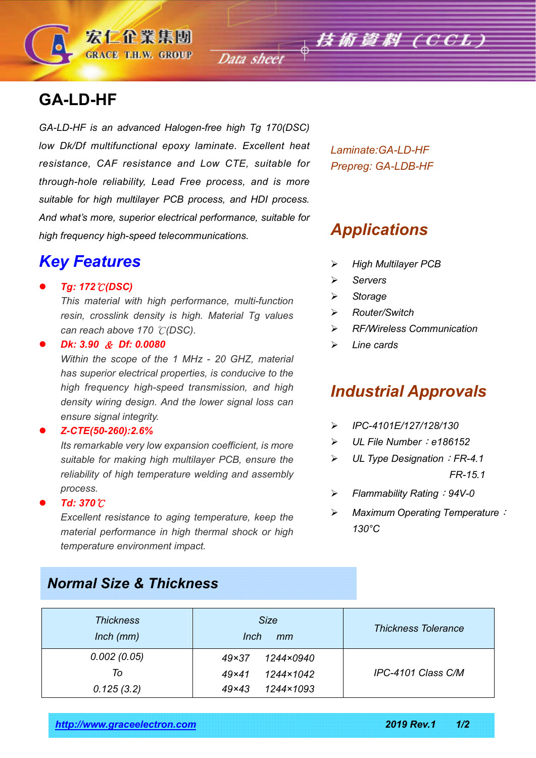**GA-LD-HF**

*GA-LD-HF is an advanced Halogen-free high Tg 170(DSC) low Dk/Df multifunctional epoxy laminate. Excellent heat resistance, CAF resistance and Low CTE, suitable for through-hole reliability, Lead Free process, and is more suitable for high multilayer PCB process, and HDI process. And what's more, superior electrical performance, suitable for high frequency high-speed telecommunications.*

## *Key Features*

*Tg: 172*℃*(DSC)*

*This material with high performance, multi-function resin, crosslink density is high. Material Tg values can reach above 170* ℃*(DSC).*

*Dk: 3.90* & *Df: 0.0080*

*Within the scope of the 1 MHz - 20 GHZ, material has superior electrical properties, is conducive to the high frequency high-speed transmission, and high density wiring design. And the lower signal loss can ensure signal integrity.*

*Z-CTE(50-260):2.6%*

*Its remarkable very low expansion coefficient, is more suitable for making high multilayer PCB, ensure the reliability of high temperature welding and assembly process.*

*Td: 370*℃

*Excellent resistance to aging temperature, keep the material performance in high thermal shock or high temperature environment impact.*

*Normal Size & Thickness*

*Laminate:GA-LD-HF Prepreg: GA-LDB-HF*

## *Applications*

- *High Multilayer PCB*
- *Servers*
- *Storage*
- *Router/Switch*
- *RF/Wireless Communication*
- *Line cards*

## *Industrial Approvals*

- *IPC-4101E/127/128/130*
- *UL File Number*:*e186152*
- *UL Type Designation*:*FR-4.1 FR-15.1*
- *Flammability Rating*:*94V-0*
- *Maximum Operating Temperature*: *130°C*

| <b>Thickness</b><br>$lnch$ ( $mm$ ) | <b>Size</b><br><b>Inch</b><br>mm | <b>Thickness Tolerance</b> |  |
|-------------------------------------|----------------------------------|----------------------------|--|
| 0.002(0.05)                         | 1244×0940<br>$49\times37$        |                            |  |
| To                                  | 1244×1042<br>$49\times41$        | IPC-4101 Class C/M         |  |
| 0.125(3.2)                          | 1244×1093<br>$49\times43$        |                            |  |